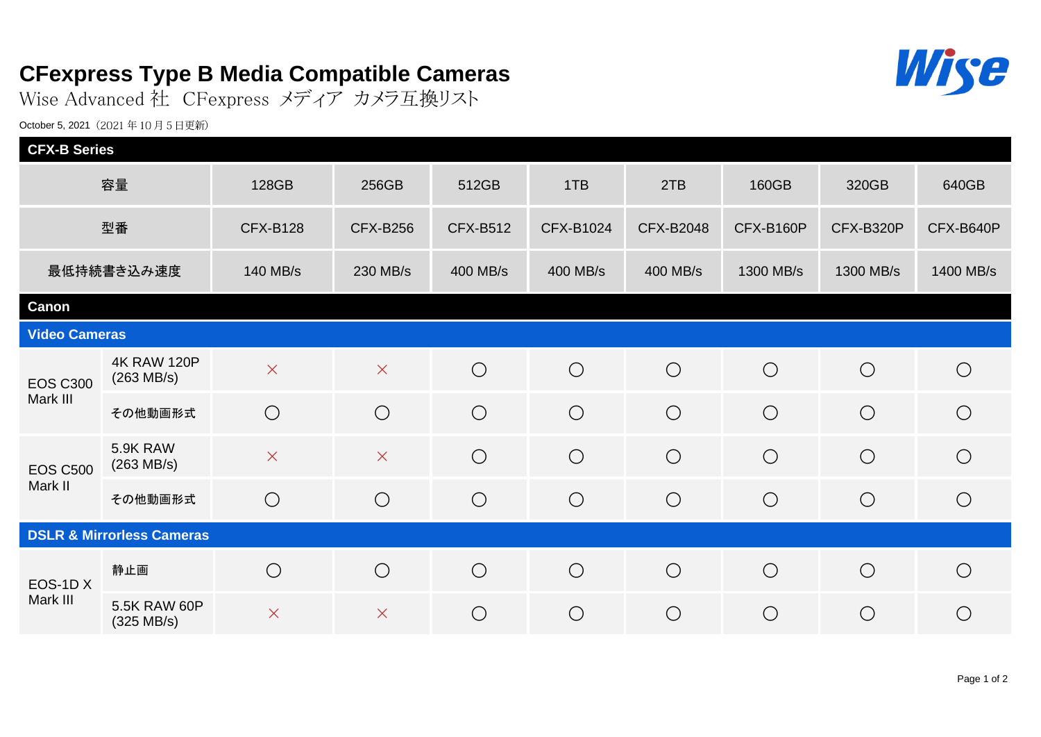## **CFexpress Type B Media Compatible Cameras**

Wise Advanced 社 CFexpress メディア カメラ互換リスト

October 5, 2021 (2021年10月5日更新)

| <b>CFX-B Series</b>                  |                                             |                 |                 |                 |            |                  |            |            |            |
|--------------------------------------|---------------------------------------------|-----------------|-----------------|-----------------|------------|------------------|------------|------------|------------|
| 容量                                   |                                             | 128GB           | 256GB           | 512GB           | 1TB        | 2TB              | 160GB      | 320GB      | 640GB      |
| 型番                                   |                                             | <b>CFX-B128</b> | <b>CFX-B256</b> | <b>CFX-B512</b> | CFX-B1024  | <b>CFX-B2048</b> | CFX-B160P  | CFX-B320P  | CFX-B640P  |
| 最低持続書き込み速度                           |                                             | 140 MB/s        | 230 MB/s        | 400 MB/s        | 400 MB/s   | 400 MB/s         | 1300 MB/s  | 1300 MB/s  | 1400 MB/s  |
| <b>Canon</b>                         |                                             |                 |                 |                 |            |                  |            |            |            |
| <b>Video Cameras</b>                 |                                             |                 |                 |                 |            |                  |            |            |            |
| <b>EOS C300</b><br>Mark III          | <b>4K RAW 120P</b><br>$(263 \text{ MB/s})$  | $\times$        | $\times$        | $\bigcirc$      | $\bigcirc$ | $\bigcirc$       | $\bigcirc$ | $\bigcirc$ | $\bigcirc$ |
|                                      | その他動画形式                                     | $\bigcirc$      | $\bigcirc$      | $\bigcirc$      | $\bigcirc$ | $\bigcirc$       | $\bigcirc$ | $\bigcirc$ | $\bigcirc$ |
| <b>EOS C500</b><br>Mark II           | 5.9K RAW<br>$(263 \text{ MB/s})$            | $\times$        | $\times$        | $\bigcirc$      | $\bigcirc$ | $\bigcirc$       | $\bigcirc$ | $\bigcirc$ | $\bigcirc$ |
|                                      | その他動画形式                                     | $\bigcirc$      | $\bigcirc$      | $\bigcirc$      | $\bigcirc$ | $\bigcirc$       | $\bigcirc$ | $\bigcirc$ | $\bigcirc$ |
| <b>DSLR &amp; Mirrorless Cameras</b> |                                             |                 |                 |                 |            |                  |            |            |            |
| EOS-1DX<br>Mark III                  | 静止画                                         | $\bigcirc$      | $\bigcirc$      | $\bigcirc$      | $\bigcirc$ | $\bigcirc$       | $\bigcirc$ | $\bigcirc$ | $\bigcirc$ |
|                                      | <b>5.5K RAW 60P</b><br>$(325 \text{ MB/s})$ | $\times$        | $\times$        | $\bigcirc$      | $\bigcirc$ | $\bigcirc$       | $\bigcirc$ | $\bigcirc$ | $\bigcirc$ |

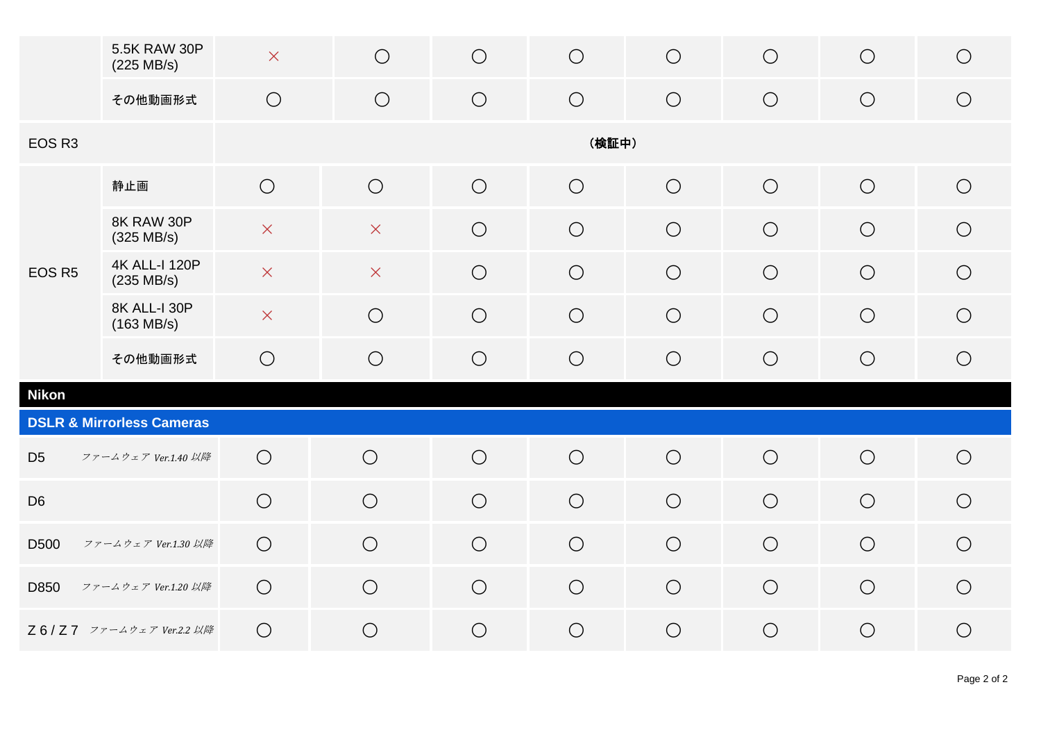|                                      | 5.5K RAW 30P<br>(225 MB/s)                   | $\mathsf X$           | $\bigcirc$              | $\bigcirc$ | $\bigcirc$ | $\bigcirc$ | $\bigcirc$ | $\bigcirc$ | $\bigcirc$ |  |
|--------------------------------------|----------------------------------------------|-----------------------|-------------------------|------------|------------|------------|------------|------------|------------|--|
|                                      | その他動画形式                                      | $\bigcirc$            | $\bigcirc$              | $\bigcirc$ | $\bigcirc$ | $\bigcirc$ | $\bigcirc$ | $\bigcirc$ | $\bigcirc$ |  |
| EOS R <sub>3</sub>                   |                                              | (検証中)                 |                         |            |            |            |            |            |            |  |
| EOS R5                               | 静止画                                          | $\bigcirc$            | $\bigcirc$              | $\bigcirc$ | $\bigcirc$ | $\bigcirc$ | $\bigcirc$ | $\bigcirc$ | $\bigcirc$ |  |
|                                      | 8K RAW 30P<br>(325 MB/s)                     | $\boldsymbol{\times}$ | $\times$                | $\bigcirc$ | $\bigcirc$ | $\bigcirc$ | $\bigcirc$ | $\bigcirc$ | $\bigcirc$ |  |
|                                      | <b>4K ALL-I 120P</b><br>$(235 \text{ MB/s})$ | $\boldsymbol{\times}$ | $\overline{\mathsf{X}}$ | $\bigcirc$ | $\bigcirc$ | $\bigcirc$ | $\bigcirc$ | $\bigcirc$ | $\bigcirc$ |  |
|                                      | 8K ALL-I 30P<br>$(163 \text{ MB/s})$         | $\times$              | $\bigcirc$              | $\bigcirc$ | $\bigcirc$ | $\bigcirc$ | $\bigcirc$ | $\bigcirc$ | $\bigcirc$ |  |
|                                      | その他動画形式                                      | $\bigcirc$            | $\bigcirc$              | $\bigcirc$ | $\bigcirc$ | $\bigcirc$ | $\bigcirc$ | $\bigcirc$ | $\bigcirc$ |  |
| <b>Nikon</b>                         |                                              |                       |                         |            |            |            |            |            |            |  |
| <b>DSLR &amp; Mirrorless Cameras</b> |                                              |                       |                         |            |            |            |            |            |            |  |
| D <sub>5</sub>                       | ファームウェア Ver.1.40 以降                          | $\bigcirc$            | $\bigcirc$              | $\bigcirc$ | $\bigcirc$ | $\bigcirc$ | $\bigcirc$ | $\bigcirc$ | $\bigcirc$ |  |
| D <sub>6</sub>                       |                                              | $\bigcirc$            | $\bigcirc$              | $\bigcirc$ | $\bigcirc$ | $\bigcirc$ | $\bigcirc$ | $\bigcirc$ | $\bigcirc$ |  |
| D500                                 | ファームウェア Ver.1.30 以降                          | $\bigcirc$            | $\bigcirc$              | $\bigcirc$ | $\bigcirc$ | $\bigcirc$ | $\bigcirc$ | $\bigcirc$ | $\bigcirc$ |  |
| D850                                 | ファームウェア Ver.1.20 以降                          | $\bigcirc$            | $\bigcirc$              | $\bigcirc$ | $\bigcirc$ | $\bigcirc$ | $\bigcirc$ | $\bigcirc$ | $\bigcirc$ |  |
|                                      | Z6/Z7 ファームウェア Ver.2.2 以降                     | $\bigcirc$            | $\bigcirc$              | $\bigcirc$ | $\bigcirc$ | $\bigcirc$ | $\bigcirc$ | $\bigcirc$ | $\bigcirc$ |  |